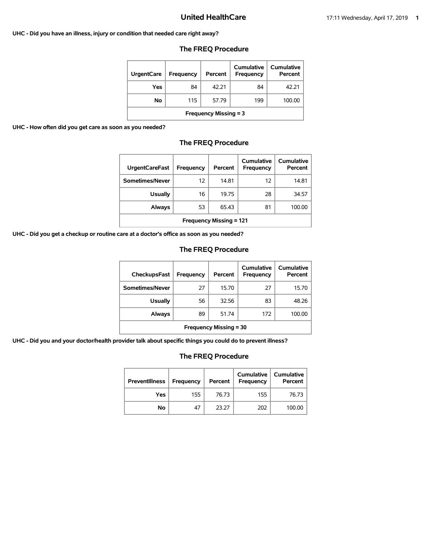#### **UHC - Did you have an illness, injury or condition that needed care right away?**

### **The FREQ Procedure**

| <b>UrgentCare</b>            | Frequency | Percent | Cumulative<br><b>Frequency</b> | Cumulative<br>Percent |  |
|------------------------------|-----------|---------|--------------------------------|-----------------------|--|
| Yes                          | 84        | 42.21   | 84                             | 42.21                 |  |
| No                           | 115       | 57.79   | 199                            | 100.00                |  |
| <b>Frequency Missing = 3</b> |           |         |                                |                       |  |

**UHC - How often did you get care as soon as you needed?**

## **The FREQ Procedure**

| <b>UrgentCareFast</b>          | Frequency | Percent | Cumulative<br>Frequency | Cumulative<br>Percent |  |
|--------------------------------|-----------|---------|-------------------------|-----------------------|--|
| Sometimes/Never                | 12        | 14.81   | 12                      | 14.81                 |  |
| <b>Usually</b>                 | 16        | 19.75   | 28                      | 34.57                 |  |
| Always                         | 53        | 65.43   | 81                      | 100.00                |  |
| <b>Frequency Missing = 121</b> |           |         |                         |                       |  |

**UHC - Did you get a checkup or routine care at a doctor's office as soon as you needed?**

## **The FREQ Procedure**

| <b>CheckupsFast</b>           | <b>Frequency</b> | Percent | Cumulative<br><b>Frequency</b> | Cumulative<br>Percent |
|-------------------------------|------------------|---------|--------------------------------|-----------------------|
| Sometimes/Never               | 27               | 15.70   | 27                             | 15.70                 |
| <b>Usually</b>                | 56               | 32.56   | 83                             | 48.26                 |
| Always                        | 89               | 51.74   | 172                            | 100.00                |
| <b>Frequency Missing = 30</b> |                  |         |                                |                       |

**UHC - Did you and your doctor/health provider talk about specific things you could do to prevent illness?**

| <b>Preventillness</b> | <b>Frequency</b> | Percent | Cumulative<br>Frequency | Cumulative<br>Percent |
|-----------------------|------------------|---------|-------------------------|-----------------------|
| Yes                   | 155              | 76.73   | 155                     | 76.73                 |
| No                    | 47               | 23.27   | 202                     | 100.00                |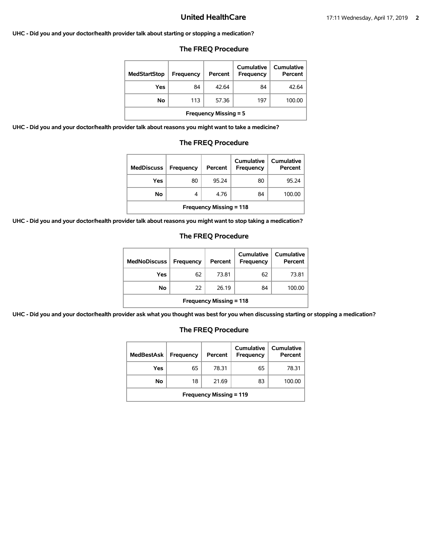**UHC - Did you and your doctor/health provider talk about starting or stopping a medication?**

## **The FREQ Procedure**

| <b>MedStartStop</b>          | Frequency | Percent | Cumulative<br>Frequency | Cumulative<br>Percent |
|------------------------------|-----------|---------|-------------------------|-----------------------|
| Yes                          | 84        | 42.64   | 84                      | 42.64                 |
| No.                          | 113       | 57.36   | 197                     | 100.00                |
| <b>Frequency Missing = 5</b> |           |         |                         |                       |

**UHC - Did you and your doctor/health provider talk about reasons you might want to take a medicine?**

#### **The FREQ Procedure**

| <b>MedDiscuss</b>              | Frequency | Percent | Cumulative<br>Frequency | Cumulative<br>Percent |  |
|--------------------------------|-----------|---------|-------------------------|-----------------------|--|
| Yes                            | 80        | 95.24   | 80                      | 95.24                 |  |
| No.                            | 4         | 4.76    | 84                      | 100.00                |  |
| <b>Frequency Missing = 118</b> |           |         |                         |                       |  |

**UHC - Did you and your doctor/health provider talk about reasons you might want to stop taking a medication?**

#### **The FREQ Procedure**

| <b>MedNoDiscuss</b>            | <b>Frequency</b> | Percent | <b>Cumulative</b><br><b>Frequency</b> | <b>Cumulative</b><br>Percent |
|--------------------------------|------------------|---------|---------------------------------------|------------------------------|
| Yes                            | 62               | 73.81   | 62                                    | 73.81                        |
| No                             | 22               | 26.19   | 84                                    | 100.00                       |
| <b>Frequency Missing = 118</b> |                  |         |                                       |                              |

**UHC - Did you and your doctor/health provider ask what you thought was best for you when discussing starting or stopping a medication?**

| <b>MedBestAsk</b>              | Frequency | Percent | Cumulative<br>Frequency | Cumulative<br>Percent |  |
|--------------------------------|-----------|---------|-------------------------|-----------------------|--|
| Yes                            | 65        | 78.31   | 65                      | 78.31                 |  |
| No                             | 18        | 21.69   | 83                      | 100.00                |  |
| <b>Frequency Missing = 119</b> |           |         |                         |                       |  |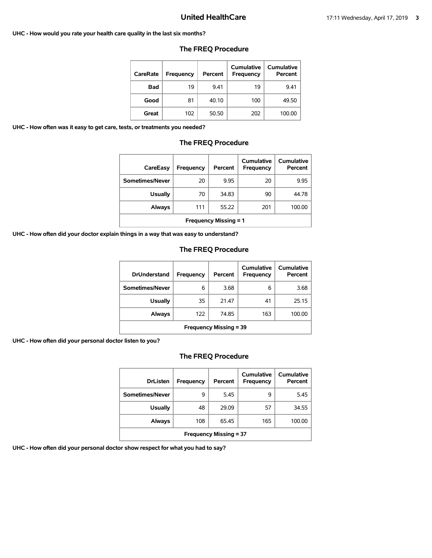#### **UHC - How would you rate your health care quality in the last six months?**

| <b>CareRate</b> | Frequency | Percent | Cumulative<br>Frequency | Cumulative<br>Percent |
|-----------------|-----------|---------|-------------------------|-----------------------|
| <b>Bad</b>      | 19        | 9.41    | 19                      | 9.41                  |
| Good            | 81        | 40.10   | 100                     | 49.50                 |
| Great           | 102       | 50.50   | 202                     | 100.00                |

#### **The FREQ Procedure**

**UHC - How often was it easy to get care, tests, or treatments you needed?**

#### **The FREQ Procedure**

| CareEasy                     | Frequency | Percent | Cumulative<br>Frequency | Cumulative<br>Percent |
|------------------------------|-----------|---------|-------------------------|-----------------------|
| Sometimes/Never              | 20        | 9.95    | 20                      | 9.95                  |
| <b>Usually</b>               | 70        | 34.83   | 90                      | 44.78                 |
| <b>Always</b>                | 111       | 55.22   | 201                     | 100.00                |
| <b>Frequency Missing = 1</b> |           |         |                         |                       |

**UHC - How often did your doctor explain things in a way that was easy to understand?**

### **The FREQ Procedure**

| <b>DrUnderstand</b>           | Frequency | Percent | Cumulative<br>Frequency | Cumulative<br>Percent |
|-------------------------------|-----------|---------|-------------------------|-----------------------|
| Sometimes/Never               | 6         | 3.68    | 6                       | 3.68                  |
| <b>Usually</b>                | 35        | 21.47   | 41                      | 25.15                 |
| Always                        | 122       | 74.85   | 163                     | 100.00                |
| <b>Frequency Missing = 39</b> |           |         |                         |                       |

**UHC - How often did your personal doctor listen to you?**

## **The FREQ Procedure**

| <b>DrListen</b>               | Frequency | Percent | Cumulative<br>Frequency | Cumulative<br>Percent |  |
|-------------------------------|-----------|---------|-------------------------|-----------------------|--|
| Sometimes/Never               | 9         | 5.45    | 9                       | 5.45                  |  |
| <b>Usually</b>                | 48        | 29.09   | 57                      | 34.55                 |  |
| <b>Always</b>                 | 108       | 65.45   | 165                     | 100.00                |  |
| <b>Frequency Missing = 37</b> |           |         |                         |                       |  |

**UHC - How often did your personal doctor show respect for what you had to say?**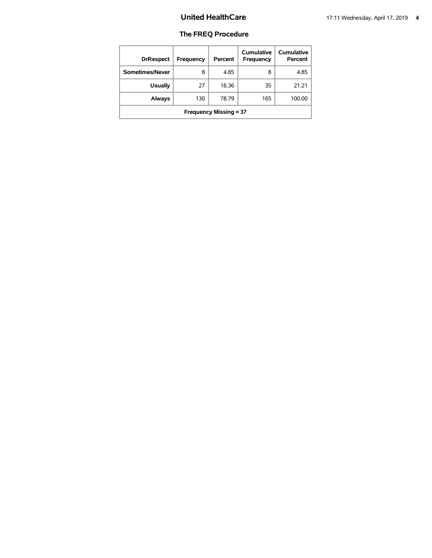| <b>DrRespect</b>              | Frequency | Percent | Cumulative<br>Frequency | <b>Cumulative</b><br>Percent |  |  |
|-------------------------------|-----------|---------|-------------------------|------------------------------|--|--|
| Sometimes/Never               | 8         | 4.85    | 8                       | 4.85                         |  |  |
| <b>Usually</b>                | 27        | 16.36   | 35                      | 21.21                        |  |  |
| Always                        | 130       | 78.79   | 165                     | 100.00                       |  |  |
| <b>Frequency Missing = 37</b> |           |         |                         |                              |  |  |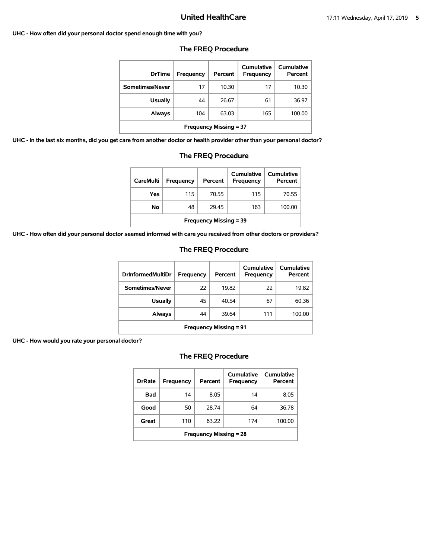#### **UHC - How often did your personal doctor spend enough time with you?**

| <b>DrTime</b>                 | Frequency | Percent | Cumulative<br>Frequency | Cumulative<br>Percent |  |  |
|-------------------------------|-----------|---------|-------------------------|-----------------------|--|--|
| Sometimes/Never               | 17        | 10.30   | 17                      | 10.30                 |  |  |
| <b>Usually</b>                | 44        | 26.67   | 61                      | 36.97                 |  |  |
| Always                        | 104       | 63.03   | 165                     | 100.00                |  |  |
| <b>Frequency Missing = 37</b> |           |         |                         |                       |  |  |

## **The FREQ Procedure**

**UHC - In the last six months, did you get care from another doctor or health provider other than your personal doctor?**

| Always                                                                                                                   |     | 104                       | 63.03 |     | 165 | 100.00 |  |
|--------------------------------------------------------------------------------------------------------------------------|-----|---------------------------|-------|-----|-----|--------|--|
| <b>Frequency Missing = 37</b>                                                                                            |     |                           |       |     |     |        |  |
| e from another doctor or health provider other than your personal d                                                      |     |                           |       |     |     |        |  |
|                                                                                                                          |     | <b>The FREQ Procedure</b> |       |     |     |        |  |
|                                                                                                                          |     |                           |       |     |     |        |  |
| <b>Cumulative</b><br><b>Cumulative</b><br><b>CareMulti</b><br><b>Frequency</b><br>Percent<br>Percent<br><b>Frequency</b> |     |                           |       |     |     |        |  |
| Yes                                                                                                                      | 115 | 70.55                     |       | 115 |     | 70.55  |  |

**No** 48 29.45 163 100.00

|  |  | UHC - How often did your personal doctor seemed informed with care you received from other doctors or providers? |
|--|--|------------------------------------------------------------------------------------------------------------------|
|--|--|------------------------------------------------------------------------------------------------------------------|

## **The FREQ Procedure**

**Frequency Missing = 39**

| <b>DrInformedMultiDr</b>      | Frequency | Percent | Cumulative<br>Frequency | Cumulative<br>Percent |  |  |
|-------------------------------|-----------|---------|-------------------------|-----------------------|--|--|
| Sometimes/Never               | 22        | 19.82   | 22                      | 19.82                 |  |  |
| <b>Usually</b>                | 45        | 40.54   | 67                      | 60.36                 |  |  |
| Always                        | 44        | 39.64   | 111                     | 100.00                |  |  |
| <b>Frequency Missing = 91</b> |           |         |                         |                       |  |  |

**UHC - How would you rate your personal doctor?**

| <b>DrRate</b>                 | <b>Frequency</b> | Percent | Cumulative<br><b>Frequency</b> | Cumulative<br>Percent |  |  |
|-------------------------------|------------------|---------|--------------------------------|-----------------------|--|--|
| Bad                           | 14               | 8.05    | 14                             | 8.05                  |  |  |
| Good                          | 50               | 28.74   | 64                             | 36.78                 |  |  |
| Great                         | 110              | 63.22   | 174                            | 100.00                |  |  |
| <b>Frequency Missing = 28</b> |                  |         |                                |                       |  |  |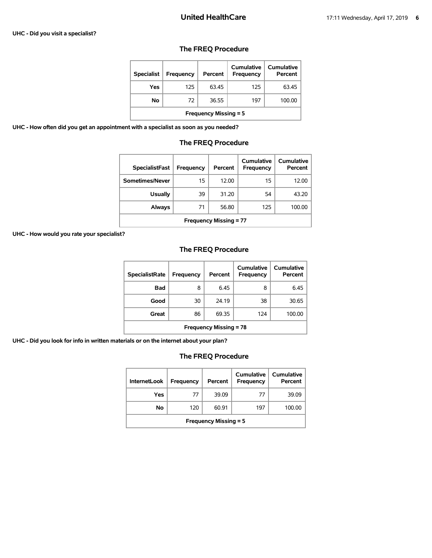#### **UHC - Did you visit a specialist?**

## **The FREQ Procedure**

| <b>Specialist</b>            | Frequency | Percent | Cumulative<br><b>Frequency</b> | Cumulative<br>Percent |  |  |
|------------------------------|-----------|---------|--------------------------------|-----------------------|--|--|
| Yes                          | 125       | 63.45   | 125                            | 63.45                 |  |  |
| No                           | 72        | 36.55   | 197                            | 100.00                |  |  |
| <b>Frequency Missing = 5</b> |           |         |                                |                       |  |  |

**UHC - How often did you get an appointment with a specialist as soon as you needed?**

## **The FREQ Procedure**

| <b>SpecialistFast</b>         | Frequency | Percent | Cumulative<br>Frequency | Cumulative<br>Percent |  |  |
|-------------------------------|-----------|---------|-------------------------|-----------------------|--|--|
| Sometimes/Never               | 15        | 12.00   | 15                      | 12.00                 |  |  |
| <b>Usually</b>                | 39        | 31.20   | 54                      | 43.20                 |  |  |
| Always                        | 71        | 56.80   | 125                     | 100.00                |  |  |
| <b>Frequency Missing = 77</b> |           |         |                         |                       |  |  |

**UHC - How would you rate your specialist?**

## **The FREQ Procedure**

| <b>SpecialistRate</b>         | Frequency | Percent | Cumulative<br>Frequency | Cumulative<br>Percent |  |  |
|-------------------------------|-----------|---------|-------------------------|-----------------------|--|--|
| <b>Bad</b>                    | 8         | 6.45    | 8                       | 6.45                  |  |  |
| Good                          | 30        | 24.19   | 38                      | 30.65                 |  |  |
| Great                         | 86        | 69.35   | 124                     | 100.00                |  |  |
| <b>Frequency Missing = 78</b> |           |         |                         |                       |  |  |

**UHC - Did you look for info in written materials or on the internet about your plan?**

| <b>InternetLook</b>          | Frequency | Percent | Cumulative<br>Frequency | Cumulative<br>Percent |  |
|------------------------------|-----------|---------|-------------------------|-----------------------|--|
| Yes                          | 77        | 39.09   | 77                      | 39.09                 |  |
| No                           | 120       | 60.91   | 197                     | 100.00                |  |
| <b>Frequency Missing = 5</b> |           |         |                         |                       |  |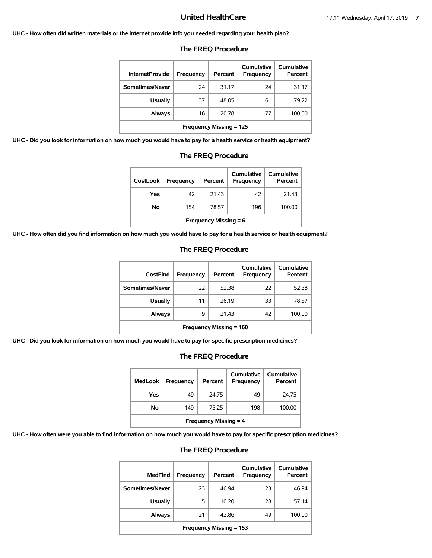#### **UHC - How often did written materials or the internet provide info you needed regarding your health plan?**

| <b>InternetProvide</b>         | Frequency | Percent | Cumulative<br>Frequency | <b>Cumulative</b><br>Percent |  |  |
|--------------------------------|-----------|---------|-------------------------|------------------------------|--|--|
| Sometimes/Never                | 24        | 31.17   | 24                      | 31.17                        |  |  |
| Usually                        | 37        | 48.05   | 61                      | 79.22                        |  |  |
| Always                         | 16        | 20.78   | 77                      | 100.00                       |  |  |
| <b>Frequency Missing = 125</b> |           |         |                         |                              |  |  |

#### **The FREQ Procedure**

**UHC - Did you look for information on how much you would have to pay for a health service or health equipment?**

| <b>The FREQ Procedure</b>                                                                          |    |       |    |       |  |  |
|----------------------------------------------------------------------------------------------------|----|-------|----|-------|--|--|
| Cumulative<br>Cumulative<br><b>CostLook</b><br>Frequency<br>Percent<br>Percent<br><b>Frequency</b> |    |       |    |       |  |  |
| Yes                                                                                                | 42 | 21.43 | 42 | 21.43 |  |  |
| 196<br>100.00<br>No.<br>78.57<br>154                                                               |    |       |    |       |  |  |
| <b>Frequency Missing = 6</b>                                                                       |    |       |    |       |  |  |

**UHC - How often did you find information on how much you would have to pay for a health service or health equipment?**

| CostFind                       | <b>Frequency</b> | Percent | Cumulative<br>Frequency | Cumulative<br>Percent |  |
|--------------------------------|------------------|---------|-------------------------|-----------------------|--|
| Sometimes/Never                | 22               | 52.38   | 22                      | 52.38                 |  |
| <b>Usually</b>                 | 11               | 26.19   | 33                      | 78.57                 |  |
| Always                         | 9                | 21.43   | 42                      | 100.00                |  |
| <b>Frequency Missing = 160</b> |                  |         |                         |                       |  |

#### **The FREQ Procedure**

**UHC - Did you look for information on how much you would have to pay for specific prescription medicines?**

## **The FREQ Procedure**

| <b>MedLook</b>               | <b>Frequency</b> | Percent | Cumulative<br><b>Frequency</b> | <b>Cumulative</b><br>Percent |  |
|------------------------------|------------------|---------|--------------------------------|------------------------------|--|
| Yes                          | 49               | 24.75   | 49                             | 24.75                        |  |
| No                           | 149              | 75.25   | 198                            | 100.00                       |  |
| <b>Frequency Missing = 4</b> |                  |         |                                |                              |  |

**UHC - How often were you able to find information on how much you would have to pay for specific prescription medicines?**

| <b>MedFind</b>                 | Frequency | Percent | Cumulative<br><b>Frequency</b> | Cumulative<br>Percent |  |
|--------------------------------|-----------|---------|--------------------------------|-----------------------|--|
| Sometimes/Never                | 23        | 46.94   | 23                             | 46.94                 |  |
| <b>Usually</b>                 | 5         | 10.20   | 28                             | 57.14                 |  |
| <b>Always</b>                  | 21        | 42.86   | 49                             | 100.00                |  |
| <b>Frequency Missing = 153</b> |           |         |                                |                       |  |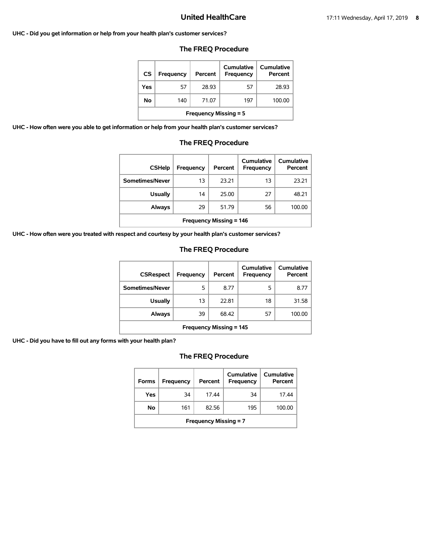#### **UHC - Did you get information or help from your health plan's customer services?**

### **The FREQ Procedure**

| <b>CS</b>                    | Frequency | Percent | Cumulative<br>Frequency | <b>Cumulative</b><br>Percent |  |
|------------------------------|-----------|---------|-------------------------|------------------------------|--|
| Yes                          | 57        | 28.93   | 57                      | 28.93                        |  |
| No                           | 140       | 71.07   | 197                     | 100.00                       |  |
| <b>Frequency Missing = 5</b> |           |         |                         |                              |  |

**UHC - How often were you able to get information or help from your health plan's customer services?**

### **The FREQ Procedure**

| <b>CSHelp</b>                  | Frequency | Percent | Cumulative<br>Frequency | Cumulative<br>Percent |  |
|--------------------------------|-----------|---------|-------------------------|-----------------------|--|
| Sometimes/Never                | 13        | 23.21   | 13                      | 23.21                 |  |
| <b>Usually</b>                 | 14        | 25.00   | 27                      | 48.21                 |  |
| Always                         | 29        | 51.79   | 56                      | 100.00                |  |
| <b>Frequency Missing = 146</b> |           |         |                         |                       |  |

**UHC - How often were you treated with respect and courtesy by your health plan's customer services?**

### **The FREQ Procedure**

| <b>CSRespect</b>               | Frequency | Percent | <b>Cumulative</b><br>Frequency | Cumulative<br>Percent |  |
|--------------------------------|-----------|---------|--------------------------------|-----------------------|--|
| Sometimes/Never                | 5         | 8.77    | 5                              | 8.77                  |  |
| <b>Usually</b>                 | 13        | 22.81   | 18                             | 31.58                 |  |
| Always                         | 39        | 68.42   | 57                             | 100.00                |  |
| <b>Frequency Missing = 145</b> |           |         |                                |                       |  |

**UHC - Did you have to fill out any forms with your health plan?**

| <b>Forms</b>                 | Frequency | Percent | Cumulative<br>Frequency | Cumulative<br>Percent |  |
|------------------------------|-----------|---------|-------------------------|-----------------------|--|
| Yes                          | 34        | 17.44   | 34                      | 17.44                 |  |
| No.                          | 161       | 82.56   | 195                     | 100.00                |  |
| <b>Frequency Missing = 7</b> |           |         |                         |                       |  |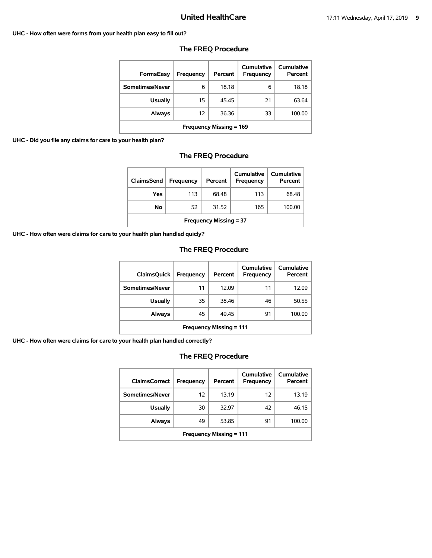#### **UHC - How often were forms from your health plan easy to fill out?**

| FormsEasy               | <b>Frequency</b> | Percent | Cumulative<br>Frequency | <b>Cumulative</b><br>Percent |  |
|-------------------------|------------------|---------|-------------------------|------------------------------|--|
| Sometimes/Never         | 6                | 18.18   | 6                       | 18.18                        |  |
| <b>Usually</b>          | 15               | 45.45   | 21                      | 63.64                        |  |
| Always                  | 12               | 36.36   | 33                      | 100.00                       |  |
| Frequency Missing = 169 |                  |         |                         |                              |  |

#### **The FREQ Procedure**

#### **UHC - Did you file any claims for care to your health plan?**

## **The FREQ Procedure**

| <b>ClaimsSend</b>             | <b>Frequency</b> | Percent | <b>Cumulative</b><br><b>Frequency</b> | <b>Cumulative</b><br>Percent |  |
|-------------------------------|------------------|---------|---------------------------------------|------------------------------|--|
| Yes                           | 113              | 68.48   | 113                                   | 68.48                        |  |
| No                            | 52               | 31.52   | 165                                   | 100.00                       |  |
| <b>Frequency Missing = 37</b> |                  |         |                                       |                              |  |

**UHC - How often were claims for care to your health plan handled quicly?**

## **The FREQ Procedure**

| <b>ClaimsQuick</b>             | Frequency | Percent | Cumulative<br>Frequency | Cumulative<br>Percent |  |
|--------------------------------|-----------|---------|-------------------------|-----------------------|--|
| Sometimes/Never                | 11        | 12.09   | 11                      | 12.09                 |  |
| <b>Usually</b>                 | 35        | 38.46   | 46                      | 50.55                 |  |
| Always                         | 45        | 49.45   | 91                      | 100.00                |  |
| <b>Frequency Missing = 111</b> |           |         |                         |                       |  |

**UHC - How often were claims for care to your health plan handled correctly?**

| <b>ClaimsCorrect</b>           | Frequency | Percent | Cumulative<br>Frequency | Cumulative<br>Percent |  |
|--------------------------------|-----------|---------|-------------------------|-----------------------|--|
| Sometimes/Never                | 12        | 13.19   | 12                      | 13.19                 |  |
| <b>Usually</b>                 | 30        | 32.97   | 42                      | 46.15                 |  |
| Always                         | 49        | 53.85   | 91                      | 100.00                |  |
| <b>Frequency Missing = 111</b> |           |         |                         |                       |  |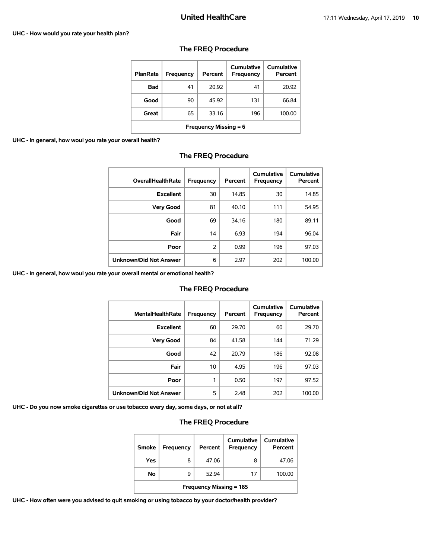#### **UHC - How would you rate your health plan?**

| <b>PlanRate</b>              | Frequency | Percent | Cumulative<br>Frequency | <b>Cumulative</b><br>Percent |  |
|------------------------------|-----------|---------|-------------------------|------------------------------|--|
| Bad                          | 41        | 20.92   | 41                      | 20.92                        |  |
| Good                         | 90        | 45.92   | 131                     | 66.84                        |  |
| Great                        | 65        | 33.16   | 196                     | 100.00                       |  |
| <b>Frequency Missing = 6</b> |           |         |                         |                              |  |

### **The FREQ Procedure**

#### **UHC - In general, how woul you rate your overall health?**

| <b>OverallHealthRate</b> | Frequency | Percent | Cumulative<br>Frequency | Cumulative<br>Percent |
|--------------------------|-----------|---------|-------------------------|-----------------------|
| <b>Excellent</b>         | 30        | 14.85   | 30                      | 14.85                 |
| <b>Very Good</b>         | 81        | 40.10   | 111                     | 54.95                 |
| Good                     | 69        | 34.16   | 180                     | 89.11                 |
| Fair                     | 14        | 6.93    | 194                     | 96.04                 |
| Poor                     | 2         | 0.99    | 196                     | 97.03                 |
| Unknown/Did Not Answer   | 6         | 2.97    | 202                     | 100.00                |

### **The FREQ Procedure**

**UHC - In general, how woul you rate your overall mental or emotional health?**

#### **The FREQ Procedure**

| <b>MentalHealthRate</b>       | <b>Frequency</b> | Percent | Cumulative<br>Frequency | Cumulative<br>Percent |
|-------------------------------|------------------|---------|-------------------------|-----------------------|
| <b>Excellent</b>              | 60               | 29.70   | 60                      | 29.70                 |
| <b>Very Good</b>              | 84               | 41.58   | 144                     | 71.29                 |
| Good                          | 42               | 20.79   | 186                     | 92.08                 |
| Fair                          | 10               | 4.95    | 196                     | 97.03                 |
| Poor                          | 1                | 0.50    | 197                     | 97.52                 |
| <b>Unknown/Did Not Answer</b> | 5                | 2.48    | 202                     | 100.00                |

**UHC - Do you now smoke cigarettes or use tobacco every day, some days, or not at all?**

# **The FREQ Procedure**

| <b>Smoke</b>                   | <b>Frequency</b> | Percent | Cumulative<br>Frequency | Cumulative<br>Percent |  |
|--------------------------------|------------------|---------|-------------------------|-----------------------|--|
| Yes                            | 8                | 47.06   | 8                       | 47.06                 |  |
| No                             | q                | 52.94   | 17                      | 100.00                |  |
| <b>Frequency Missing = 185</b> |                  |         |                         |                       |  |

**UHC - How often were you advised to quit smoking or using tobacco by your doctor/health provider?**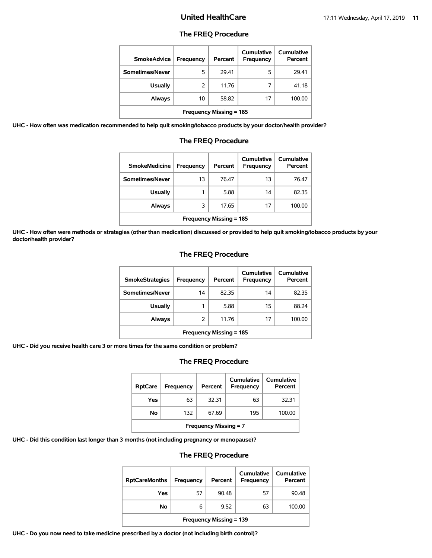#### **The FREQ Procedure**

| <b>SmokeAdvice</b>             | Frequency | Percent | Cumulative<br>Frequency | Cumulative<br>Percent |  |
|--------------------------------|-----------|---------|-------------------------|-----------------------|--|
| Sometimes/Never                | 5         | 29.41   | 5                       | 29.41                 |  |
| <b>Usually</b>                 | 2         | 11.76   |                         | 41.18                 |  |
| <b>Always</b>                  | 10        | 58.82   | 17                      | 100.00                |  |
| <b>Frequency Missing = 185</b> |           |         |                         |                       |  |

**UHC - How often was medication recommended to help quit smoking/tobacco products by your doctor/health provider?**

| <b>SmokeMedicine</b>           | Frequency | Percent | Cumulative<br><b>Frequency</b> | Cumulative<br>Percent |  |  |
|--------------------------------|-----------|---------|--------------------------------|-----------------------|--|--|
| Sometimes/Never                | 13        | 76.47   | 13                             | 76.47                 |  |  |
| <b>Usually</b>                 | 1         | 5.88    | 14                             | 82.35                 |  |  |
| <b>Always</b>                  | 3         | 17.65   | 17                             | 100.00                |  |  |
| <b>Frequency Missing = 185</b> |           |         |                                |                       |  |  |

## **The FREQ Procedure**

**UHC - How often were methods or strategies (other than medication) discussed or provided to help quit smoking/tobacco products by your doctor/health provider?**

#### **The FREQ Procedure**

| <b>SmokeStrategies</b>         | Frequency | Percent | Cumulative<br><b>Frequency</b> | Cumulative<br>Percent |  |
|--------------------------------|-----------|---------|--------------------------------|-----------------------|--|
| Sometimes/Never                | 14        | 82.35   | 14                             | 82.35                 |  |
| <b>Usually</b>                 |           | 5.88    | 15                             | 88.24                 |  |
| Always                         | 2         | 11.76   | 17                             | 100.00                |  |
| <b>Frequency Missing = 185</b> |           |         |                                |                       |  |

**UHC - Did you receive health care 3 or more times for the same condition or problem?**

### **The FREQ Procedure**

| <b>RptCare</b>               | Frequency | Percent | Cumulative<br>Frequency | Cumulative<br>Percent |  |
|------------------------------|-----------|---------|-------------------------|-----------------------|--|
| Yes                          | 63        | 32.31   | 63                      | 32.31                 |  |
| No                           | 132       | 67.69   | 195                     | 100.00                |  |
| <b>Frequency Missing = 7</b> |           |         |                         |                       |  |

**UHC - Did this condition last longer than 3 months (not including pregnancy or menopause)?**

### **The FREQ Procedure**

| <b>RptCareMonths</b>           | Frequency | Percent | Cumulative<br><b>Frequency</b> | Cumulative<br>Percent |  |
|--------------------------------|-----------|---------|--------------------------------|-----------------------|--|
| Yes                            | 57        | 90.48   | 57                             | 90.48                 |  |
| No                             | 6         | 9.52    | 63                             | 100.00                |  |
| <b>Frequency Missing = 139</b> |           |         |                                |                       |  |

**UHC - Do you now need to take medicine prescribed by a doctor (not including birth control)?**